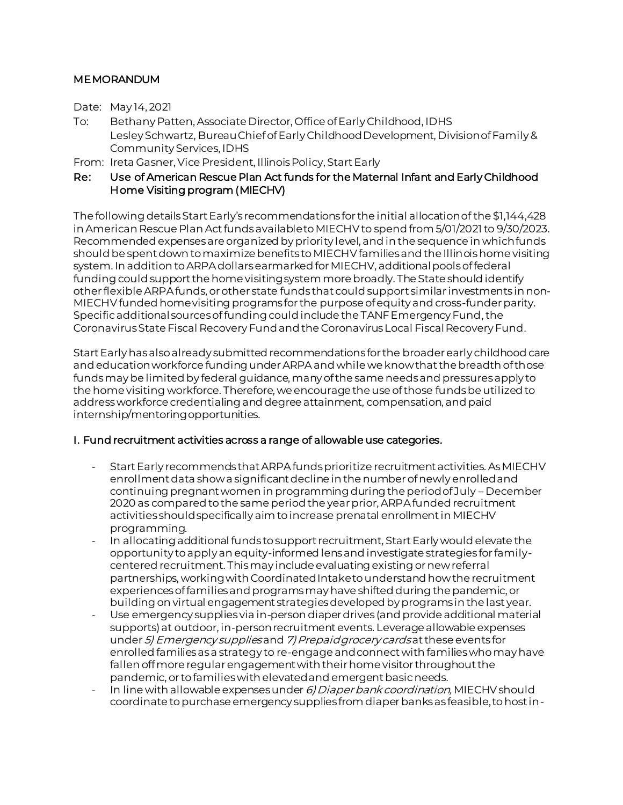## MEMORANDUM

Date: May 14, 2021

- To: Bethany Patten, Associate Director, Office of Early Childhood, IDHS Lesley Schwartz, Bureau Chief of Early Childhood Development, Division of Family & Community Services, IDHS
- From: Ireta Gasner, Vice President, Illinois Policy, Start Early

## Re: Use of American Rescue Plan Act funds for the Maternal Infant and Early Childhood Home Visiting program (MIECHV)

The following details Start Early's recommendations for the initial allocation of the \$1,144,428 in American Rescue Plan Act funds available to MIECHV to spend from 5/01/2021 to 9/30/2023. Recommended expenses are organized by priority level, and in the sequence in which funds should be spent down to maximize benefits to MIECHV families and the Illinois home visiting system. In addition to ARPAdollars earmarked for MIECHV, additional pools of federal funding could support the home visiting system more broadly. The State should identify other flexible ARPAfunds, or other state funds that could support similar investments in non-MIECHV funded home visiting programs for the purpose of equity and cross-funder parity. Specific additional sources of funding could include the TANF Emergency Fund, the Coronavirus State Fiscal Recovery Fundand the Coronavirus Local Fiscal Recovery Fund.

Start Early has also already submitted recommendations for the broader early childhood care and educationworkforce funding under ARPA and while we know that the breadth of those funds may be limited by federal guidance, many of the same needs and pressures apply to the home visiting workforce. Therefore, we encourage the use of those funds be utilized to address workforce credentialing and degree attainment, compensation, and paid internship/mentoring opportunities.

### I. Fund recruitment activities across a range of allowable use categories.

- Start Early recommends that ARPAfunds prioritize recruitment activities. AsMIECHV enrollment data show a significant decline in the number of newly enrolled and continuing pregnant women in programming during the period of July – December 2020 as compared to the same period the year prior, ARPAfunded recruitment activities should specifically aim to increase prenatal enrollment in MIECHV programming.
- In allocating additional funds to support recruitment, Start Early would elevate the opportunity to apply an equity-informed lens and investigate strategies for familycentered recruitment. This may include evaluating existing or new referral partnerships, working with Coordinated Intake to understand how the recruitment experiences of families and programs may have shifted during the pandemic, or building on virtual engagement strategies developed by programs in the last year.
- Use emergency supplies via in-person diaper drives (and provide additional material supports)at outdoor, in-person recruitment events. Leverage allowable expenses under 5) Emergency supplies and 7) Prepaid grocery cards at these events for enrolled families as a strategy to re-engage and connect with families who may have fallen off more regular engagement with their home visitor throughout the pandemic, or to families with elevated and emergent basic needs.
- In line with allowable expenses under 6) Diaper bank coordination, MIECHV should coordinate to purchase emergency supplies from diaper banks as feasible, to host in-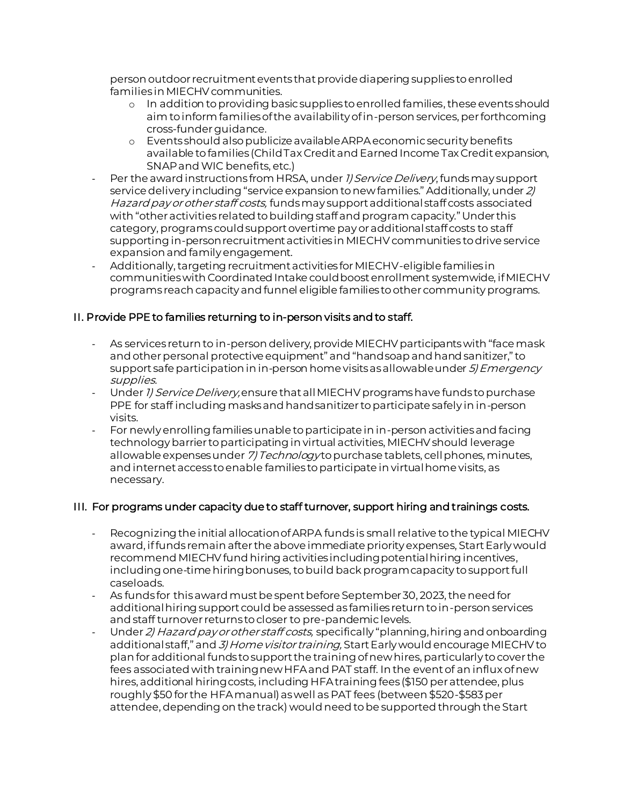person outdoor recruitment events that provide diapering supplies to enrolled families in MIECHV communities.

- o In addition to providing basic supplies to enrolled families, these events should aim to inform families of the availability of in-person services, per forthcoming cross-funder guidance.
- o Events should also publicize available ARPAeconomic security benefits available to families (Child Tax Credit and Earned Income Tax Credit expansion, SNAP and WIC benefits, etc.)
- Per the award instructions from HRSA, under 1) Service Delivery, funds may support service delivery including "service expansion to new families." Additionally, under 2) Hazard pay or other staff costs, funds may support additional staff costs associated with "other activities related to building staff and program capacity." Under this category, programs could support overtime payor additional staff costs to staff supporting in-person recruitment activities in MIECHV communities to drive service expansion and family engagement.
- Additionally, targeting recruitment activities for MIECHV-eligible families in communities with Coordinated Intake could boost enrollment systemwide, if MIECHV programs reach capacity and funnel eligible families to other community programs.

# II. Provide PPE to families returning to in-person visits and to staff.

- As services return to in-person delivery, provide MIECHV participants with "face mask and other personal protective equipment" and "hand soap and hand sanitizer," to support safe participation in in-person home visits as allowable under 5) Emergency supplies.
- Under *1) Service Delivery*, ensure that all MIECHV programs have funds to purchase PPE for staff including masks and hand sanitizer to participate safely in in-person visits.
- For newly enrolling families unable to participate in in-person activities and facing technology barrier to participating in virtual activities, MIECHV should leverage allowable expenses under 7) Technology to purchase tablets, cell phones, minutes, and internet access to enable families to participate in virtual home visits, as necessary.

# III. For programs under capacity due to staff turnover, support hiring and trainings costs.

- Recognizing the initial allocation of ARPA funds is small relative to the typical MIECHV award, if funds remain after the above immediate priority expenses, Start Early would recommend MIECHV fund hiring activities including potential hiring incentives, including one-time hiring bonuses, to build back program capacity to support full caseloads.
- As funds for this award must be spent before September 30, 2023, the need for additional hiring support could be assessed as families return to in-person services and staff turnover returns to closer to pre-pandemic levels.
- Under 2) Hazard pay or other staff costs, specifically "planning, hiring and onboarding additional staff," and 3) Home visitor training, Start Early would encourage MIECHV to plan for additional funds to support the training of new hires, particularly to cover the fees associated with training new HFA and PAT staff. In the event of an influx of new hires, additional hiring costs, including HFA training fees (\$150 per attendee, plus roughly \$50 for the HFA manual) as well as PAT fees (between \$520-\$583 per attendee, depending on the track) would need to be supported through the Start